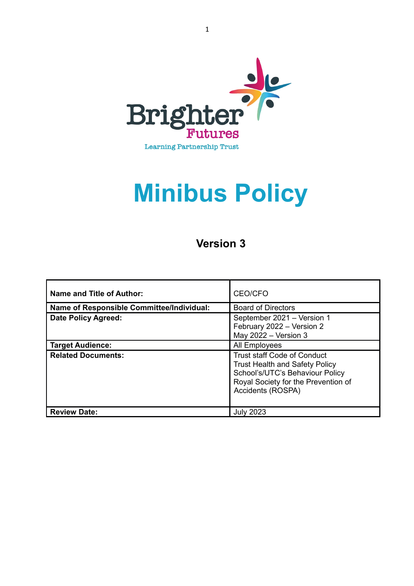

# **Minibus Policy**

# **Version 3**

| <b>Name and Title of Author:</b>          | CEO/CFO                                                                                                                                                                    |
|-------------------------------------------|----------------------------------------------------------------------------------------------------------------------------------------------------------------------------|
| Name of Responsible Committee/Individual: | <b>Board of Directors</b>                                                                                                                                                  |
| <b>Date Policy Agreed:</b>                | September 2021 - Version 1<br>February 2022 - Version 2<br>May $2022 -$ Version 3                                                                                          |
| <b>Target Audience:</b>                   | All Employees                                                                                                                                                              |
| <b>Related Documents:</b>                 | <b>Trust staff Code of Conduct</b><br><b>Trust Health and Safety Policy</b><br>School's/UTC's Behaviour Policy<br>Royal Society for the Prevention of<br>Accidents (ROSPA) |
| <b>Review Date:</b>                       | <b>July 2023</b>                                                                                                                                                           |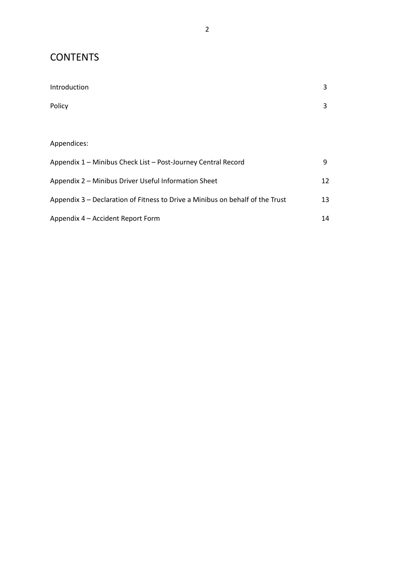# **CONTENTS**

| Introduction                                                                  | 3  |
|-------------------------------------------------------------------------------|----|
| Policy                                                                        | 3  |
|                                                                               |    |
| Appendices:                                                                   |    |
| Appendix 1 - Minibus Check List - Post-Journey Central Record                 | 9  |
| Appendix 2 - Minibus Driver Useful Information Sheet                          | 12 |
| Appendix 3 – Declaration of Fitness to Drive a Minibus on behalf of the Trust | 13 |
| Appendix 4 - Accident Report Form                                             | 14 |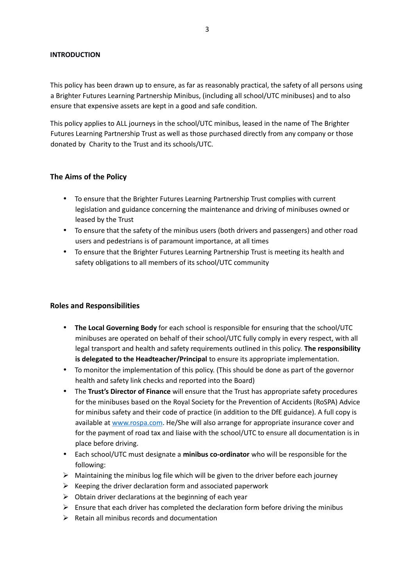#### **INTRODUCTION**

This policy has been drawn up to ensure, as far as reasonably practical, the safety of all persons using a Brighter Futures Learning Partnership Minibus, (including all school/UTC minibuses) and to also ensure that expensive assets are kept in a good and safe condition.

This policy applies to ALL journeys in the school/UTC minibus, leased in the name of The Brighter Futures Learning Partnership Trust as well as those purchased directly from any company or those donated by Charity to the Trust and its schools/UTC.

#### **The Aims of the Policy**

- To ensure that the Brighter Futures Learning Partnership Trust complies with current legislation and guidance concerning the maintenance and driving of minibuses owned or leased by the Trust
- To ensure that the safety of the minibus users (both drivers and passengers) and other road users and pedestrians is of paramount importance, at all times
- To ensure that the Brighter Futures Learning Partnership Trust is meeting its health and safety obligations to all members of its school/UTC community

#### **Roles and Responsibilities**

- **The Local Governing Body** for each school is responsible for ensuring that the school/UTC minibuses are operated on behalf of their school/UTC fully comply in every respect, with all legal transport and health and safety requirements outlined in this policy. **The responsibility is delegated to the Headteacher/Principal** to ensure its appropriate implementation.
- To monitor the implementation of this policy. (This should be done as part of the governor health and safety link checks and reported into the Board)
- The **Trust's Director of Finance** will ensure that the Trust has appropriate safety procedures for the minibuses based on the Royal Society for the Prevention of Accidents (RoSPA) Advice for minibus safety and their code of practice (in addition to the DfE guidance). A full copy is available at [www.rospa.com.](http://www.rospa.com/) He/She will also arrange for appropriate insurance cover and for the payment of road tax and liaise with the school/UTC to ensure all documentation is in place before driving.
- Each school/UTC must designate a **minibus co-ordinator** who will be responsible for the following:
- $\triangleright$  Maintaining the minibus log file which will be given to the driver before each journey
- $\triangleright$  Keeping the driver declaration form and associated paperwork
- $\triangleright$  Obtain driver declarations at the beginning of each year
- $\triangleright$  Ensure that each driver has completed the declaration form before driving the minibus
- $\triangleright$  Retain all minibus records and documentation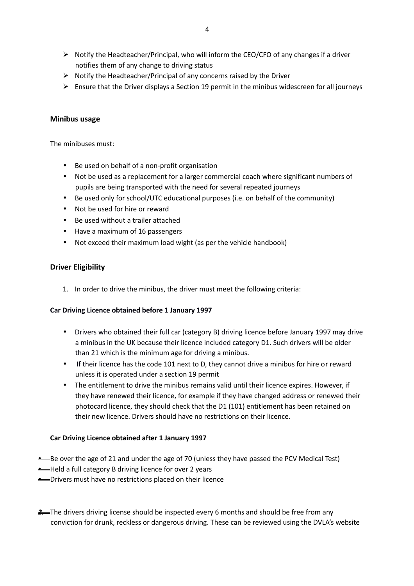- $\triangleright$  Notify the Headteacher/Principal, who will inform the CEO/CFO of any changes if a driver notifies them of any change to driving status
- $\triangleright$  Notify the Headteacher/Principal of any concerns raised by the Driver
- $\triangleright$  Ensure that the Driver displays a Section 19 permit in the minibus widescreen for all journeys

#### **Minibus usage**

The minibuses must:

- Be used on behalf of a non-profit organisation
- Not be used as a replacement for a larger commercial coach where significant numbers of pupils are being transported with the need for several repeated journeys
- Be used only for school/UTC educational purposes (i.e. on behalf of the community)
- Not be used for hire or reward
- Be used without a trailer attached
- Have a maximum of 16 passengers
- Not exceed their maximum load wight (as per the vehicle handbook)

#### **Driver Eligibility**

1. In order to drive the minibus, the driver must meet the following criteria:

#### **Car Driving Licence obtained before 1 January 1997**

- Drivers who obtained their full car (category B) driving licence before January 1997 may drive a minibus in the UK because their licence included category D1. Such drivers will be older than 21 which is the minimum age for driving a minibus.
- If their licence has the code 101 next to D, they cannot drive a minibus for hire or reward unless it is operated under a section 19 permit
- The entitlement to drive the minibus remains valid until their licence expires. However, if they have renewed their licence, for example if they have changed address or renewed their photocard licence, they should check that the D1 (101) entitlement has been retained on their new licence. Drivers should have no restrictions on their licence.

#### **Car Driving Licence obtained after 1 January 1997**

- **•** Be over the age of 21 and under the age of 70 (unless they have passed the PCV Medical Test)
- **•** Held a full category B driving licence for over 2 years
- **•** Drivers must have no restrictions placed on their licence
- **2.** The drivers driving license should be inspected every 6 months and should be free from any conviction for drunk, reckless or dangerous driving. These can be reviewed using the DVLA's website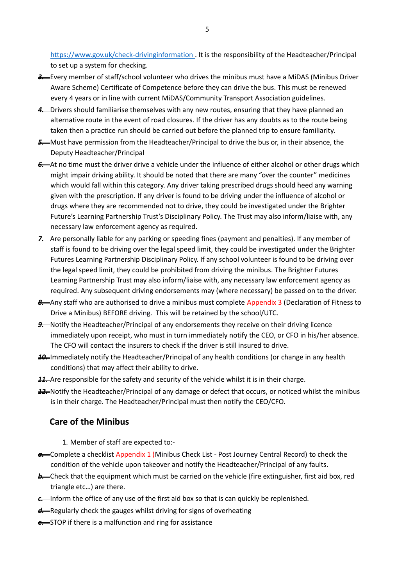https://www.gov.uk/check-drivinginformation . It is the responsibility of the Headteacher/Principal to set up a system for checking.

- *3.* Every member of staff/school volunteer who drives the minibus must have a MiDAS (Minibus Driver Aware Scheme) Certificate of Competence before they can drive the bus. This must be renewed every 4 years or in line with current MiDAS/Community Transport Association guidelines.
- 4. Drivers should familiarise themselves with any new routes, ensuring that they have planned an alternative route in the event of road closures. If the driver has any doubts as to the route being taken then a practice run should be carried out before the planned trip to ensure familiarity.
- **5.** Must have permission from the Headteacher/Principal to drive the bus or, in their absence, the Deputy Headteacher/Principal
- *6.* At no time must the driver drive a vehicle under the influence of either alcohol or other drugs which might impair driving ability. It should be noted that there are many "over the counter" medicines which would fall within this category. Any driver taking prescribed drugs should heed any warning given with the prescription. If any driver is found to be driving under the influence of alcohol or drugs where they are recommended not to drive, they could be investigated under the Brighter Future's Learning Partnership Trust's Disciplinary Policy. The Trust may also inform/liaise with, any necessary law enforcement agency as required.
- 7. Are personally liable for any parking or speeding fines (payment and penalties). If any member of staff is found to be driving over the legal speed limit, they could be investigated under the Brighter Futures Learning Partnership Disciplinary Policy. If any school volunteer is found to be driving over the legal speed limit, they could be prohibited from driving the minibus. The Brighter Futures Learning Partnership Trust may also inform/liaise with, any necessary law enforcement agency as required. Any subsequent driving endorsements may (where necessary) be passed on to the driver.
- 8. Any staff who are authorised to drive a minibus must complete Appendix 3 (Declaration of Fitness to Drive a Minibus) BEFORE driving. This will be retained by the school/UTC.
- **9.** Notify the Headteacher/Principal of any endorsements they receive on their driving licence immediately upon receipt, who must in turn immediately notify the CEO, or CFO in his/her absence. The CFO will contact the insurers to check if the driver is still insured to drive.
- *10.* Immediately notify the Headteacher/Principal of any health conditions (or change in any health conditions) that may affect their ability to drive.
- **11.** Are responsible for the safety and security of the vehicle whilst it is in their charge.
- *12.* Notify the Headteacher/Principal of any damage or defect that occurs, or noticed whilst the minibus is in their charge. The Headteacher/Principal must then notify the CEO/CFO.

# **Care of the Minibus**

1. Member of staff are expected to:-

- **a.** Complete a checklist Appendix 1 (Minibus Check List Post Journey Central Record) to check the condition of the vehicle upon takeover and notify the Headteacher/Principal of any faults.
- **b.** Check that the equipment which must be carried on the vehicle (fire extinguisher, first aid box, red triangle etc…) are there.
- **c.** Inform the office of any use of the first aid box so that is can quickly be replenished.
- d—Regularly check the gauges whilst driving for signs of overheating
- **e.** STOP if there is a malfunction and ring for assistance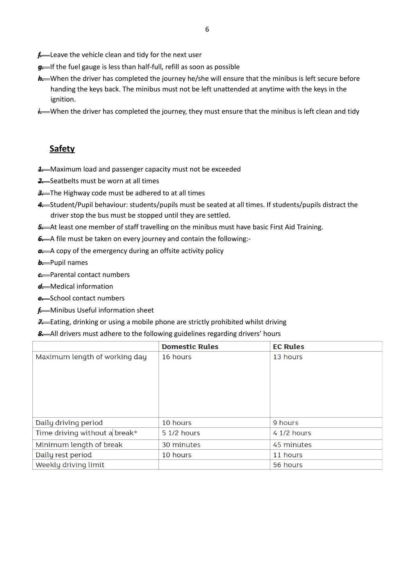- **f.** Leave the vehicle clean and tidy for the next user
- g-If the fuel gauge is less than half-full, refill as soon as possible
- **h.** When the driver has completed the journey he/she will ensure that the minibus is left secure before handing the keys back. The minibus must not be left unattended at anytime with the keys in the ignition.
- *i*. When the driver has completed the journey, they must ensure that the minibus is left clean and tidy

# **Safety**

- **1.** Maximum load and passenger capacity must not be exceeded
- 2. Seatbelts must be worn at all times
- **3.** The Highway code must be adhered to at all times
- 4. Student/Pupil behaviour: students/pupils must be seated at all times. If students/pupils distract the driver stop the bus must be stopped until they are settled.
- 5. At least one member of staff travelling on the minibus must have basic First Aid Training.
- *6.* A file must be taken on every journey and contain the following:-
- **a.** A copy of the emergency during an offsite activity policy

**b.** Pupil names

- *c.* Parental contact numbers
- *d.* Medical information
- *e.* School contact numbers
- *f.* Minibus Useful information sheet
- **7.** Eating, drinking or using a mobile phone are strictly prohibited whilst driving

#### 8. All drivers must adhere to the following guidelines regarding drivers' hours

|                               | <b>Domestic Rules</b> | <b>EC Rules</b> |
|-------------------------------|-----------------------|-----------------|
| Maximum length of working day | 16 hours              | 13 hours        |
|                               |                       |                 |
|                               |                       |                 |
|                               |                       |                 |
|                               |                       |                 |
|                               |                       |                 |
|                               |                       |                 |
| Daily driving period          | 10 hours              | 9 hours         |
| Time driving without a break* | 5 1/2 hours           | 4 1/2 hours     |
| Minimum length of break       | 30 minutes            | 45 minutes      |
| Daily rest period             | 10 hours              | 11 hours        |
| Weekly driving limit          |                       | 56 hours        |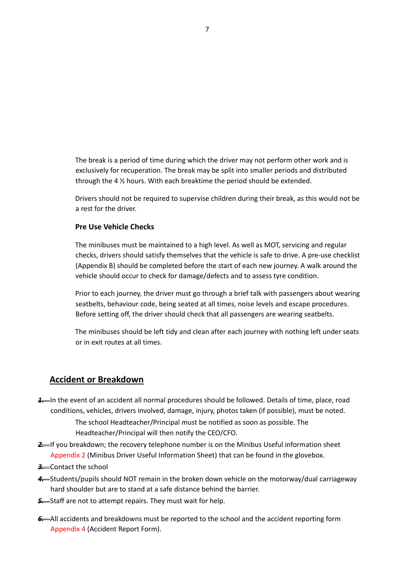The break is a period of time during which the driver may not perform other work and is exclusively for recuperation. The break may be split into smaller periods and distributed through the 4 ½ hours. With each breaktime the period should be extended.

Drivers should not be required to supervise children during their break, as this would not be a rest for the driver.

#### **Pre Use Vehicle Checks**

The minibuses must be maintained to a high level. As well as MOT, servicing and regular checks, drivers should satisfy themselves that the vehicle is safe to drive. A pre-use checklist (Appendix B) should be completed before the start of each new journey. A walk around the vehicle should occur to check for damage/defects and to assess tyre condition.

Prior to each journey, the driver must go through a brief talk with passengers about wearing seatbelts, behaviour code, being seated at all times, noise levels and escape procedures. Before setting off, the driver should check that all passengers are wearing seatbelts.

The minibuses should be left tidy and clean after each journey with nothing left under seats or in exit routes at all times.

### **Accident or Breakdown**

*1.* In the event of an accident all normal procedures should be followed. Details of time, place, road conditions, vehicles, drivers involved, damage, injury, photos taken (if possible), must be noted.

The school Headteacher/Principal must be notified as soon as possible. The Headteacher/Principal will then notify the CEO/CFO.

- 2-If you breakdown; the recovery telephone number is on the Minibus Useful information sheet Appendix 2 (Minibus Driver Useful Information Sheet) that can be found in the glovebox.
- **3.** Contact the school
- *4.* Students/pupils should NOT remain in the broken down vehicle on the motorway/dual carriageway hard shoulder but are to stand at a safe distance behind the barrier.
- **5.** Staff are not to attempt repairs. They must wait for help.
- **6.** All accidents and breakdowns must be reported to the school and the accident reporting form Appendix 4 (Accident Report Form).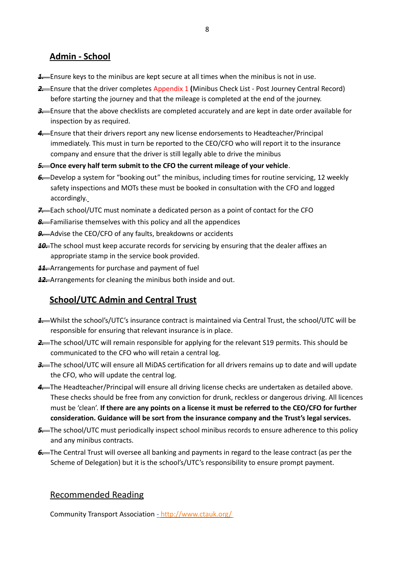# **Admin - School**

- **1.** Ensure keys to the minibus are kept secure at all times when the minibus is not in use.
- *2.* Ensure that the driver completes Appendix 1 **(**Minibus Check List Post Journey Central Record) before starting the journey and that the mileage is completed at the end of the journey.
- *3.* Ensure that the above checklists are completed accurately and are kept in date order available for inspection by as required.
- 4. Ensure that their drivers report any new license endorsements to Headteacher/Principal immediately. This must in turn be reported to the CEO/CFO who will report it to the insurance company and ensure that the driver is still legally able to drive the minibus
- *5.* **Once every half term submit to the CFO the current mileage of your vehicle**.
- *6.* Develop a system for "booking out" the minibus, including times for routine servicing, 12 weekly safety inspections and MOTs these must be booked in consultation with the CFO and logged accordingly.
- *7.* Each school/UTC must nominate a dedicated person as a point of contact for the CFO
- *8.* Familiarise themselves with this policy and all the appendices
- **9.** Advise the CEO/CFO of any faults, breakdowns or accidents
- **10.** The school must keep accurate records for servicing by ensuring that the dealer affixes an appropriate stamp in the service book provided.
- **11.** Arrangements for purchase and payment of fuel
- *12.* Arrangements for cleaning the minibus both inside and out.

# **School/UTC Admin and Central Trust**

- *1.* Whilst the school's/UTC's insurance contract is maintained via Central Trust, the school/UTC will be responsible for ensuring that relevant insurance is in place.
- **2.** The school/UTC will remain responsible for applying for the relevant S19 permits. This should be communicated to the CFO who will retain a central log.
- **3.** The school/UTC will ensure all MiDAS certification for all drivers remains up to date and will update the CFO, who will update the central log.
- 4-The Headteacher/Principal will ensure all driving license checks are undertaken as detailed above. These checks should be free from any conviction for drunk, reckless or dangerous driving. All licences must be 'clean'. **If there are any points on a license it must be referred to the CEO/CFO for further consideration. Guidance will be sort from the insurance company and the Trust's legal services.**
- **5.** The school/UTC must periodically inspect school minibus records to ensure adherence to this policy and any minibus contracts.
- **6.** The Central Trust will oversee all banking and payments in regard to the lease contract (as per the Scheme of Delegation) but it is the school's/UTC's responsibility to ensure prompt payment.

# Recommended Reading

Community Transport Association [- http://www.ctauk.org/](http://www.ctauk.org/)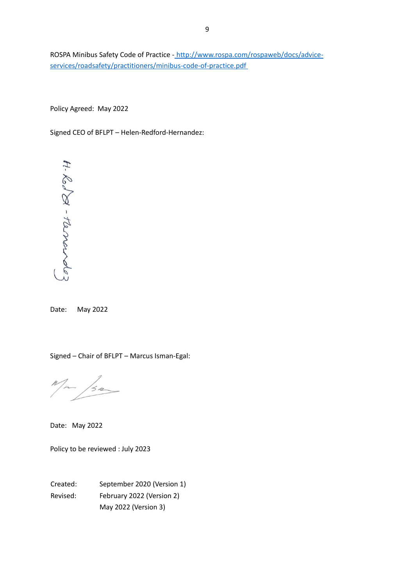ROSPA Minibus Safety Code of Practice - http://www.rospa.com/rospaweb/docs/adviceservices/roadsafety/practitioners/minibus-code-of-practice.pdf

Policy Agreed: May 2022

Signed CEO of BFLPT – Helen-Redford-Hernandez:



Date: May 2022

Signed – Chair of BFLPT – Marcus Isman-Egal:

 $M_{\mu\nu}$ /sa

Date: May 2022

Policy to be reviewed : July 2023

Created: September 2020 (Version 1) Revised: February 2022 (Version 2) May 2022 (Version 3)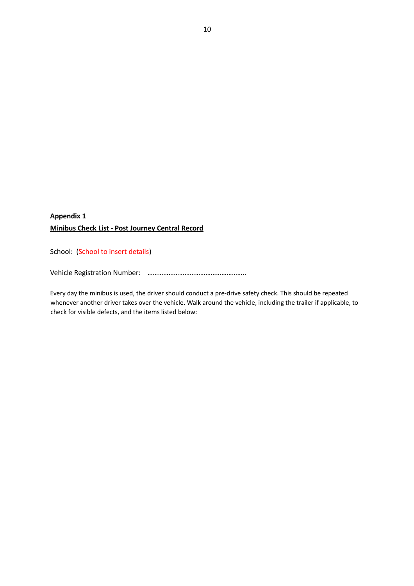# **Appendix 1 Minibus Check List - Post Journey Central Record**

School: (School to insert details)

Vehicle Registration Number: ………………………………………………..

Every day the minibus is used, the driver should conduct a pre-drive safety check. This should be repeated whenever another driver takes over the vehicle. Walk around the vehicle, including the trailer if applicable, to check for visible defects, and the items listed below: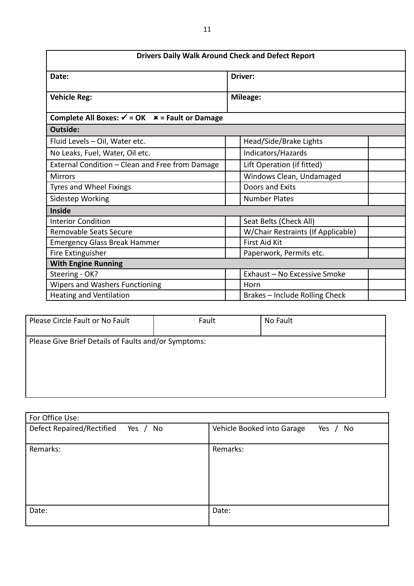| <b>Drivers Daily Walk Around Check and Defect Report</b>    |                                    |  |  |  |
|-------------------------------------------------------------|------------------------------------|--|--|--|
| Date:                                                       | <b>Driver:</b>                     |  |  |  |
| <b>Vehicle Reg:</b>                                         | <b>Mileage:</b>                    |  |  |  |
| Complete All Boxes: $\checkmark$ = OK $*$ = Fault or Damage |                                    |  |  |  |
| Outside:                                                    |                                    |  |  |  |
| Fluid Levels - Oil, Water etc.                              | Head/Side/Brake Lights             |  |  |  |
| No Leaks, Fuel, Water, Oil etc.                             | Indicators/Hazards                 |  |  |  |
| External Condition - Clean and Free from Damage             | Lift Operation (if fitted)         |  |  |  |
| <b>Mirrors</b>                                              | Windows Clean, Undamaged           |  |  |  |
| Tyres and Wheel Fixings                                     | Doors and Exits                    |  |  |  |
| Sidestep Working                                            | <b>Number Plates</b>               |  |  |  |
| <b>Inside</b>                                               |                                    |  |  |  |
| <b>Interior Condition</b>                                   | Seat Belts (Check All)             |  |  |  |
| Removable Seats Secure                                      | W/Chair Restraints (If Applicable) |  |  |  |
| <b>Emergency Glass Break Hammer</b>                         | <b>First Aid Kit</b>               |  |  |  |
| Fire Extinguisher                                           | Paperwork, Permits etc.            |  |  |  |
| <b>With Engine Running</b>                                  |                                    |  |  |  |
| Steering - OK?                                              | Exhaust - No Excessive Smoke       |  |  |  |
| <b>Wipers and Washers Functioning</b>                       | Horn                               |  |  |  |
| <b>Heating and Ventilation</b>                              | Brakes - Include Rolling Check     |  |  |  |

| Please Circle Fault or No Fault                      | Fault | No Fault |
|------------------------------------------------------|-------|----------|
| Please Give Brief Details of Faults and/or Symptoms: |       |          |

| For Office Use:                                   |                                         |
|---------------------------------------------------|-----------------------------------------|
| <b>Defect Repaired/Rectified</b><br>Yes $/$<br>No | Vehicle Booked into Garage<br>Yes<br>No |
| Remarks:                                          | Remarks:                                |
| Date:                                             | Date:                                   |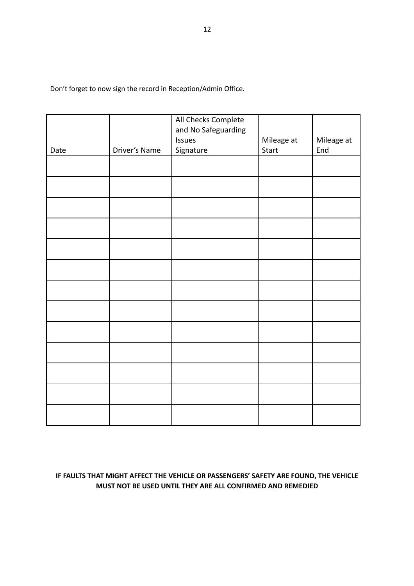Don't forget to now sign the record in Reception/Admin Office.

|      |               | All Checks Complete<br>and No Safeguarding |            |            |
|------|---------------|--------------------------------------------|------------|------------|
|      |               | Issues                                     | Mileage at | Mileage at |
| Date | Driver's Name | Signature                                  | Start      | End        |
|      |               |                                            |            |            |
|      |               |                                            |            |            |
|      |               |                                            |            |            |
|      |               |                                            |            |            |
|      |               |                                            |            |            |
|      |               |                                            |            |            |
|      |               |                                            |            |            |
|      |               |                                            |            |            |
|      |               |                                            |            |            |
|      |               |                                            |            |            |
|      |               |                                            |            |            |
|      |               |                                            |            |            |
|      |               |                                            |            |            |

# **IF FAULTS THAT MIGHT AFFECT THE VEHICLE OR PASSENGERS' SAFETY ARE FOUND, THE VEHICLE MUST NOT BE USED UNTIL THEY ARE ALL CONFIRMED AND REMEDIED**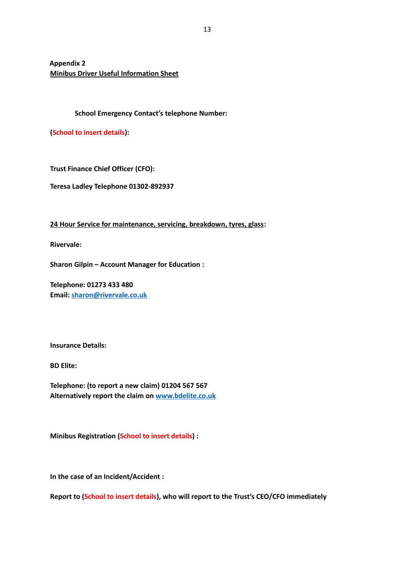**Appendix 2 Minibus Driver Useful Information Sheet**

#### **School Emergency Contact's telephone Number:**

**(School to insert details):** 

**Trust Finance Chief Officer (CFO):** 

**Teresa Ladley Telephone 01302-892937**

**24 Hour Service for maintenance, servicing, breakdown, tyres, glass:**

**Rivervale:**

**Sharon Gilpin – Account Manager for Education :**

**Telephone: 01273 433 480 Email: [sharon@rivervale.co.uk](mailto:sharon@rivervale.co.uk)**

**Insurance Details:**

**BD Elite:**

**Telephone: (to report a new claim) 01204 567 567 Alternatively report the claim on [www.bdelite.co.uk](http://www.bdelite.co.uk/)**

**Minibus Registration (School to insert details) :**

**In the case of an Incident/Accident :**

**Report to (School to insert details), who will report to the Trust's CEO/CFO immediately**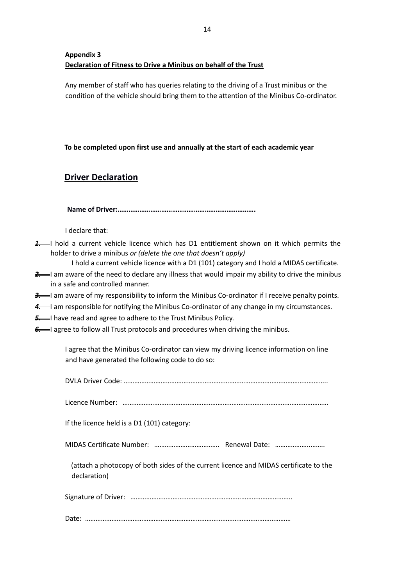# **Appendix 3 Declaration of Fitness to Drive a Minibus on behalf of the Trust**

Any member of staff who has queries relating to the driving of a Trust minibus or the condition of the vehicle should bring them to the attention of the Minibus Co-ordinator.

**To be completed upon first use and annually at the start of each academic year** 

# **Driver Declaration**

**Name of Driver:………………………………………………………………….**

I declare that:

*1.* I hold a current vehicle licence which has D1 entitlement shown on it which permits the holder to drive a minibus *or (delete the one that doesn't apply)* 

I hold a current vehicle licence with a D1 (101) category and I hold a MIDAS certificate.

2. I am aware of the need to declare any illness that would impair my ability to drive the minibus in a safe and controlled manner.

**3.** I am aware of my responsibility to inform the Minibus Co-ordinator if I receive penalty points.

4. I am responsible for notifying the Minibus Co-ordinator of any change in my circumstances.

**5.** I have read and agree to adhere to the Trust Minibus Policy.

**6.** I agree to follow all Trust protocols and procedures when driving the minibus.

I agree that the Minibus Co-ordinator can view my driving licence information on line and have generated the following code to do so:

|--|--|

If the licence held is a D1 (101) category:

MIDAS Certificate Number: ………………………………. Renewal Date: ………………..……..

(attach a photocopy of both sides of the current licence and MIDAS certificate to the declaration)

Signature of Driver: ………………………………………………………………………………..

Date: ………………………………………………………………………………………………………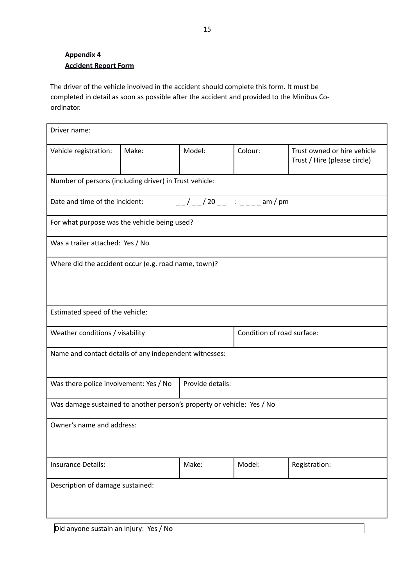# **Appendix 4 Accident Report Form**

The driver of the vehicle involved in the accident should complete this form. It must be completed in detail as soon as possible after the accident and provided to the Minibus Coordinator.

| Driver name:                                                           |                                                            |                                                                                          |                            |                                                             |  |
|------------------------------------------------------------------------|------------------------------------------------------------|------------------------------------------------------------------------------------------|----------------------------|-------------------------------------------------------------|--|
| Vehicle registration:                                                  | Make:                                                      | Model:                                                                                   | Colour:                    | Trust owned or hire vehicle<br>Trust / Hire (please circle) |  |
| Number of persons (including driver) in Trust vehicle:                 |                                                            |                                                                                          |                            |                                                             |  |
| Date and time of the incident:                                         |                                                            | $\frac{1}{2}$ / $\frac{1}{2}$ / 20 $\frac{1}{2}$ : $\frac{1}{2}$ = $\frac{1}{2}$ am / pm |                            |                                                             |  |
| For what purpose was the vehicle being used?                           |                                                            |                                                                                          |                            |                                                             |  |
| Was a trailer attached: Yes / No                                       |                                                            |                                                                                          |                            |                                                             |  |
| Where did the accident occur (e.g. road name, town)?                   |                                                            |                                                                                          |                            |                                                             |  |
|                                                                        |                                                            |                                                                                          |                            |                                                             |  |
| Estimated speed of the vehicle:                                        |                                                            |                                                                                          |                            |                                                             |  |
| Weather conditions / visability                                        |                                                            |                                                                                          | Condition of road surface: |                                                             |  |
| Name and contact details of any independent witnesses:                 |                                                            |                                                                                          |                            |                                                             |  |
|                                                                        | Provide details:<br>Was there police involvement: Yes / No |                                                                                          |                            |                                                             |  |
| Was damage sustained to another person's property or vehicle: Yes / No |                                                            |                                                                                          |                            |                                                             |  |
| Owner's name and address:                                              |                                                            |                                                                                          |                            |                                                             |  |
|                                                                        |                                                            |                                                                                          |                            |                                                             |  |
| <b>Insurance Details:</b>                                              |                                                            | Make:                                                                                    | Model:                     | Registration:                                               |  |
| Description of damage sustained:                                       |                                                            |                                                                                          |                            |                                                             |  |
|                                                                        |                                                            |                                                                                          |                            |                                                             |  |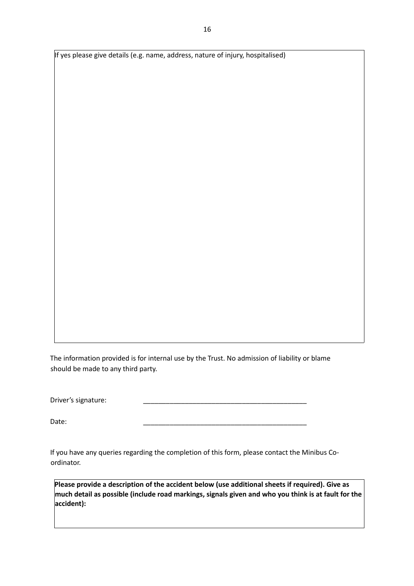If yes please give details (e.g. name, address, nature of injury, hospitalised)

The information provided is for internal use by the Trust. No admission of liability or blame should be made to any third party.

Driver's signature:

Date: \_\_\_\_\_\_\_\_\_\_\_\_\_\_\_\_\_\_\_\_\_\_\_\_\_\_\_\_\_\_\_\_\_\_\_\_\_\_\_\_\_\_\_

If you have any queries regarding the completion of this form, please contact the Minibus Coordinator.

**Please provide a description of the accident below (use additional sheets if required). Give as much detail as possible (include road markings, signals given and who you think is at fault for the accident):**